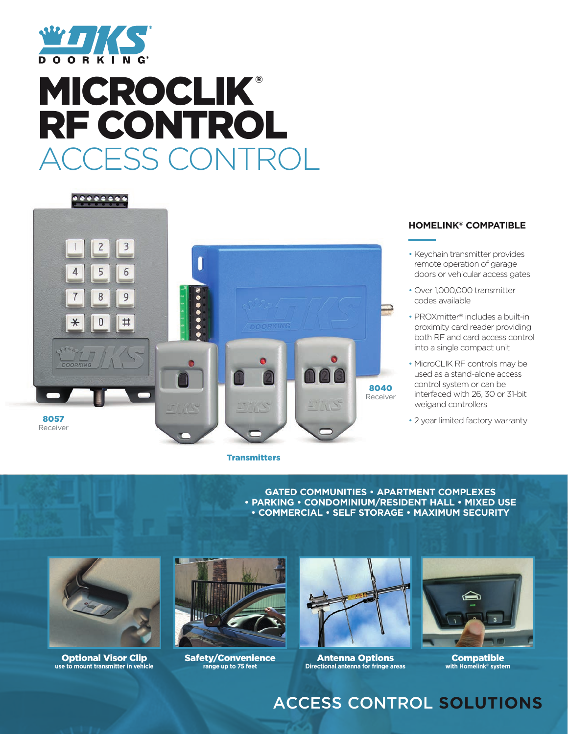

# **MICROCLIK®** RF CONTROL ESS CONTRO



#### **Transmitters**

#### **HOMELINK® COMPATIBLE**

- Keychain transmitter provides remote operation of garage doors or vehicular access gates
- Over 1,000,000 transmitter codes available
- PROXmitter® includes a built-in proximity card reader providing both RF and card access control into a single compact unit
- MicroCLIK RF controls may be used as a stand-alone access control system or can be interfaced with 26, 30 or 31-bit weigand controllers
- 

**GATED COMMUNITIES • APARTMENT COMPLEXES • PARKING • CONDOMINIUM/RESIDENT HALL • MIXED USE • COMMERCIAL • SELF STORAGE • MAXIMUM SECURITY** 



Optional Visor Clip **use to mount transmitter in vehicle**



Safety/Convenience **range up to 75 feet**



Antenna Options **Directional antenna for fringe areas**



**Compatible with Homelink® system**

# ACCESS CONTROL **SOLUTIONS**